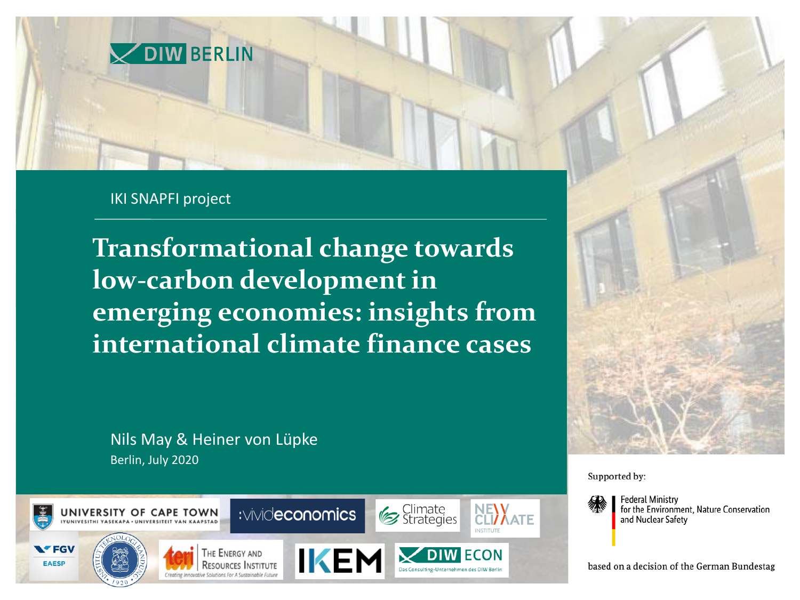

#### IKI SNAPFI project

**Transformational change towards low-carbon development in emerging economies: insights from international climate finance cases**

Berlin, July 2020 Nils May & Heiner von Lüpke





Supported by:



**Federal Ministry** for the Environment. Nature Conservation and Nuclear Safety

based on a decision of the German Bundestag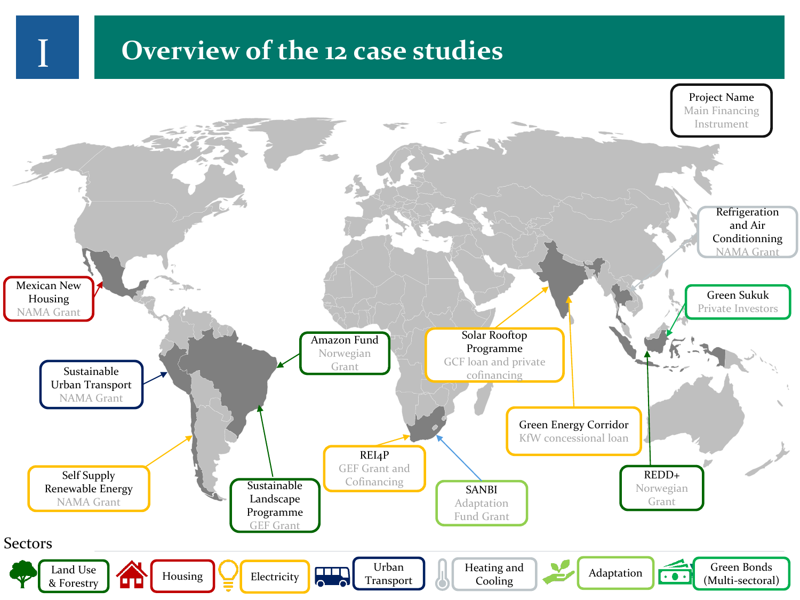#### **THE PROXUALE IS OVERVIEW OF the 12 case studies**

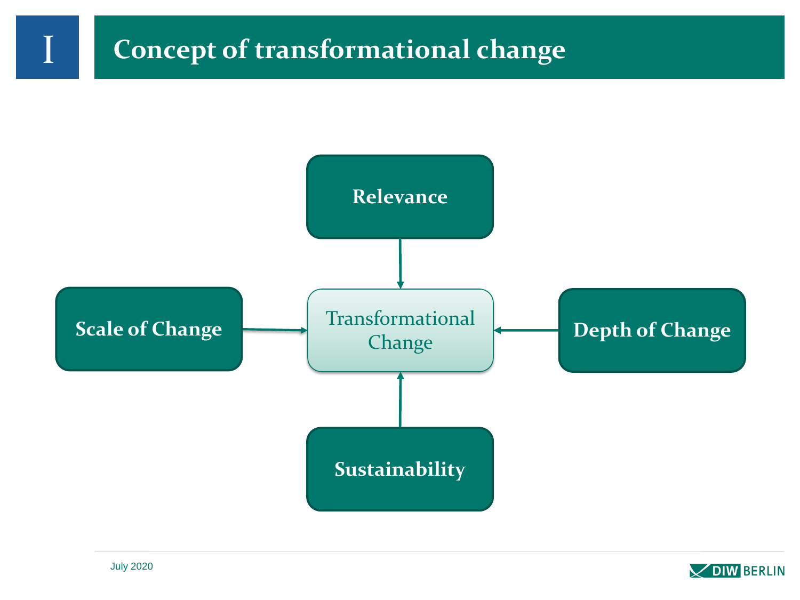



I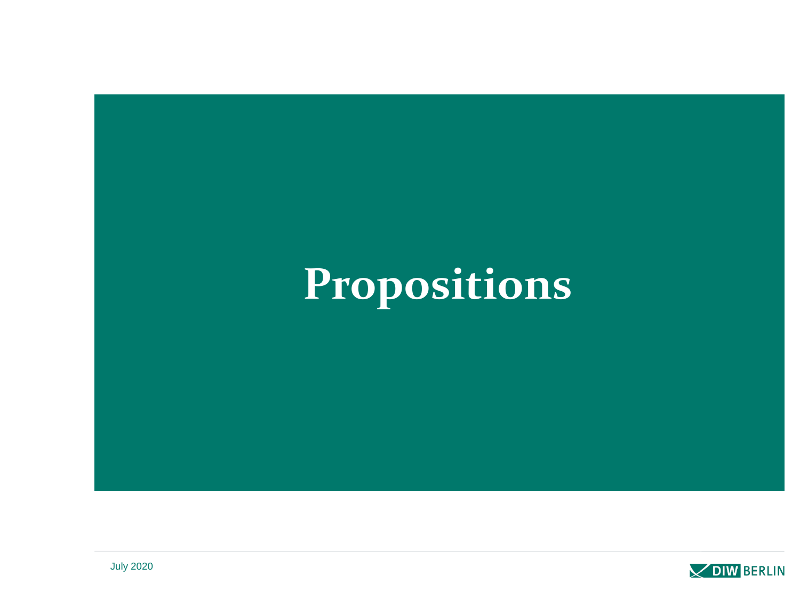# **Propositions**

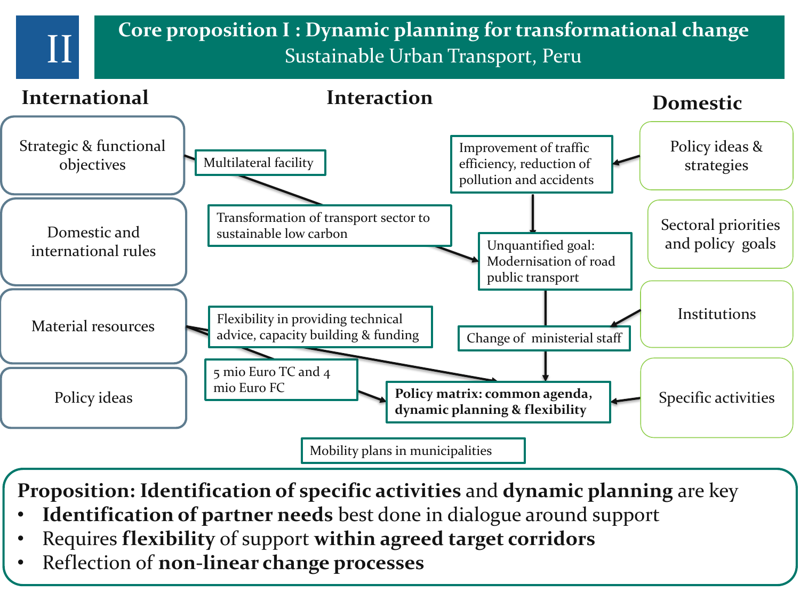**Core proposition I : Dynamic planning for transformational change**<br>Sustainable Urban Transport, Peru



**Proposition: Identification of specific activities** and **dynamic planning** are key

- **Identification of partner needs** best done in dialogue around support
- Requires **flexibility** of support **within agreed target corridors**
- Reflection of **non-linear change processes**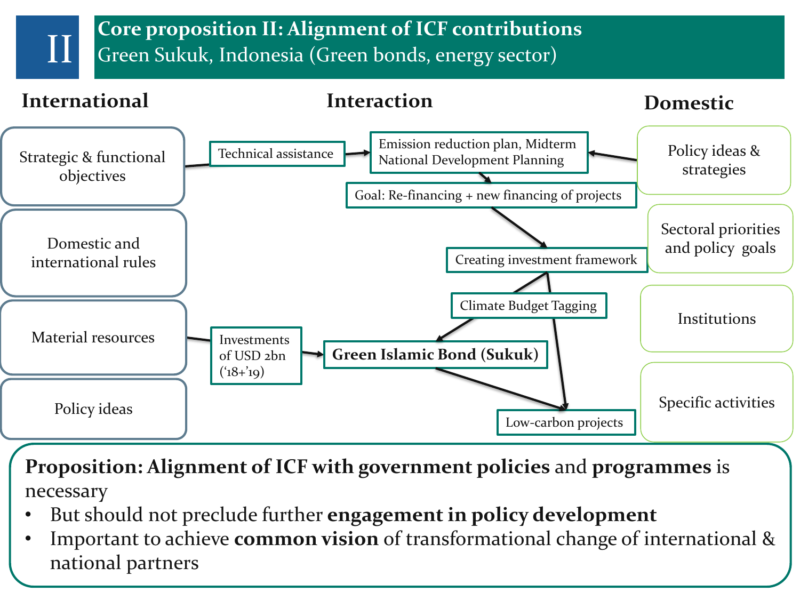**Core proposition II: Alignment of ICF contributions**<br>Green Sukuk, Indonesia (Green bonds, energy sector)



**Proposition: Alignment of ICF with government policies** and **programmes** is necessary

- But should not preclude further **engagement in policy development**
- Important to achieve **common vision** of transformational change of international & national partners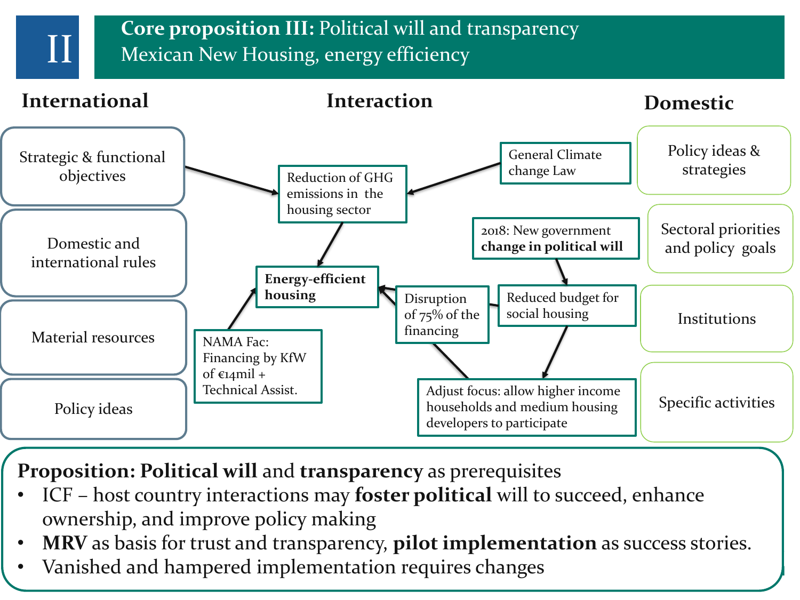**Core proposition III:** Political will and transparency II Mexican New Housing, energy efficiency



**Proposition: Political will** and **transparency** as prerequisites

- ICF host country interactions may **foster political** will to succeed, enhance ownership, and improve policy making
- **MRV** as basis for trust and transparency, **pilot implementation** as success stories.
- Vanished and hampered implementation requires changes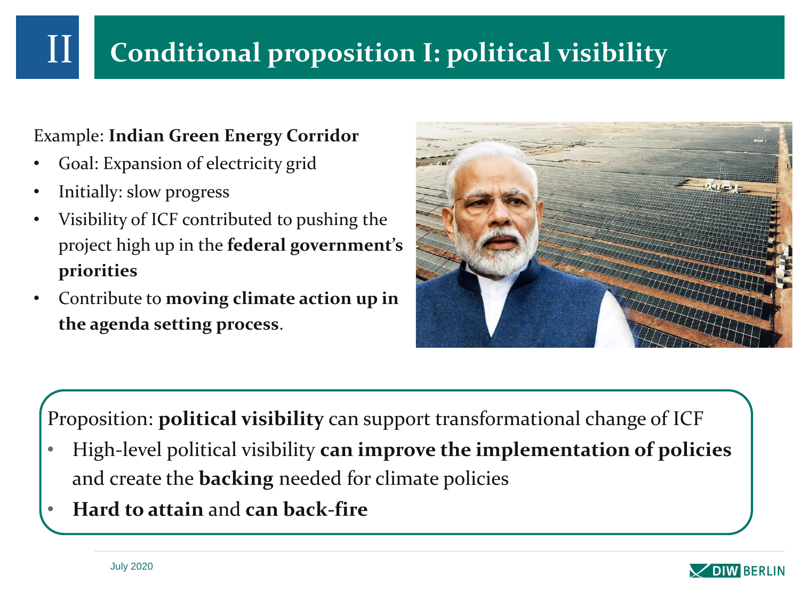## **Conditional proposition I: political visibility**

#### Example: **Indian Green Energy Corridor**

- Goal: Expansion of electricity grid
- Initially: slow progress

II

- Visibility of ICF contributed to pushing the project high up in the **federal government's priorities**
- Contribute to **moving climate action up in the agenda setting process**.



Proposition: **political visibility** can support transformational change of ICF

- High-level political visibility **can improve the implementation of policies**  and create the **backing** needed for climate policies
- **Hard to attain** and **can back-fire**

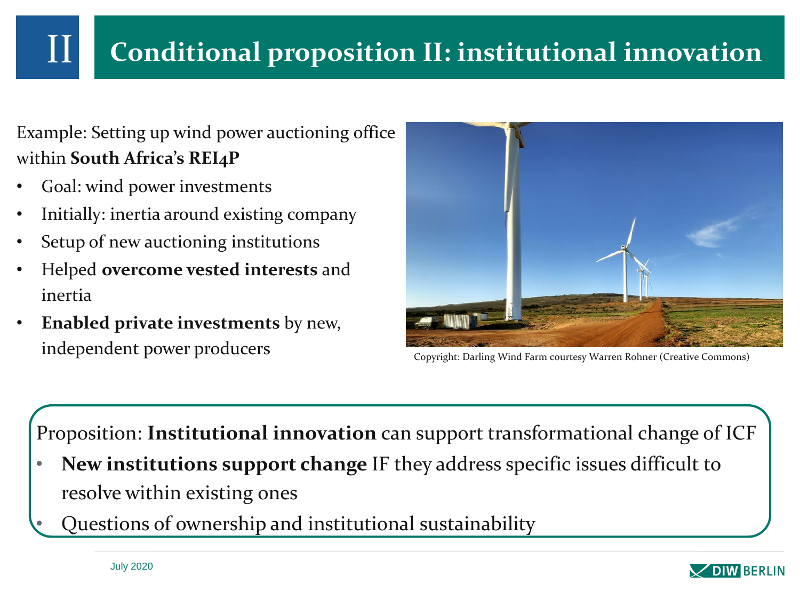## **Conditional proposition II: institutional innovation**

Example: Setting up wind power auctioning office within **South Africa's REI4P**

- Goal: wind power investments
- Initially: inertia around existing company
- Setup of new auctioning institutions
- Helped **overcome vested interests** and inertia
- **Enabled private investments** by new, independent power producers Copyright: Darling Wind Farm courtesy Warren Rohner (Creative Commons)



Proposition: **Institutional innovation** can support transformational change of ICF

- **New institutions support change** IF they address specific issues difficult to resolve within existing ones
- Questions of ownership and institutional sustainability

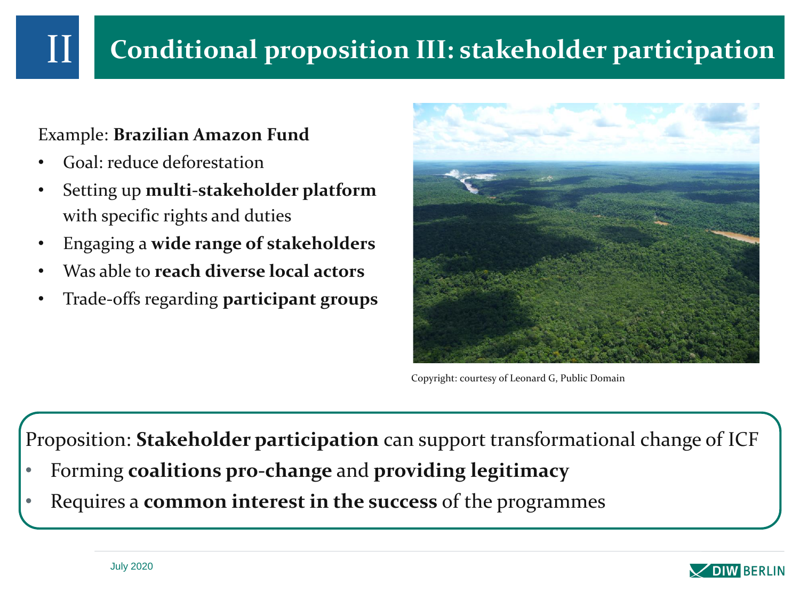#### **Conditional proposition III: stakeholder participation**

#### Example: **Brazilian Amazon Fund**

- Goal: reduce deforestation
- Setting up **multi-stakeholder platform**  with specific rights and duties
- Engaging a **wide range of stakeholders**
- Was able to **reach diverse local actors**
- Trade-offs regarding **participant groups**



Copyright: courtesy of Leonard G, Public Domain

Proposition: **Stakeholder participation** can support transformational change of ICF

- Forming **coalitions pro-change** and **providing legitimacy**
- Requires a **common interest in the success** of the programmes

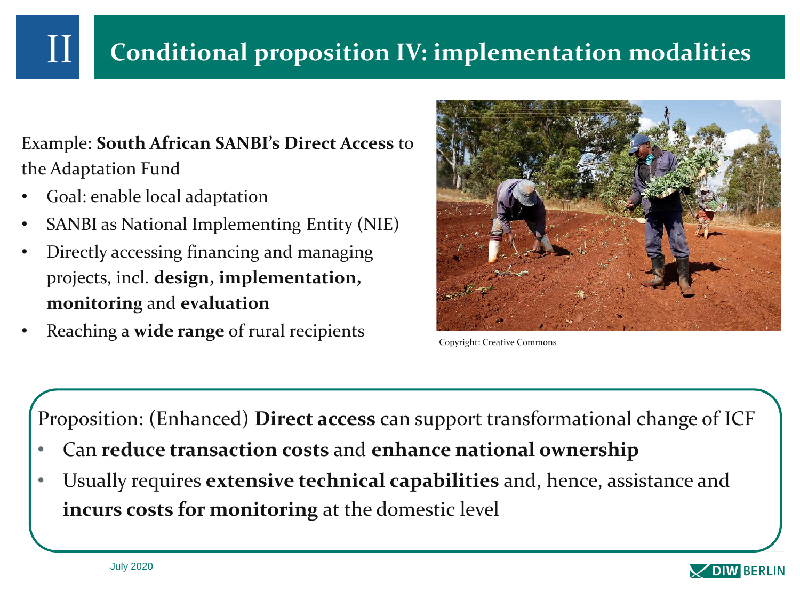Example: **South African SANBI's Direct Access** to the Adaptation Fund

• Goal: enable local adaptation

II

- SANBI as National Implementing Entity (NIE)
- Directly accessing financing and managing projects, incl. **design, implementation, monitoring** and **evaluation**
- Reaching a **wide range** of rural recipients



Copyright: Creative Commons

Proposition: (Enhanced) **Direct access** can support transformational change of ICF

- Can **reduce transaction costs** and **enhance national ownership**
- Usually requires **extensive technical capabilities** and, hence, assistance and **incurs costs for monitoring** at the domestic level

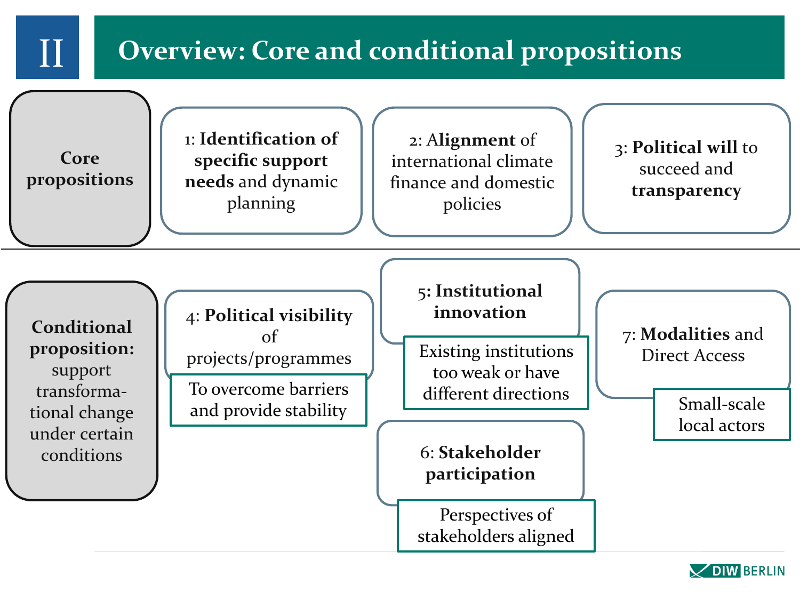

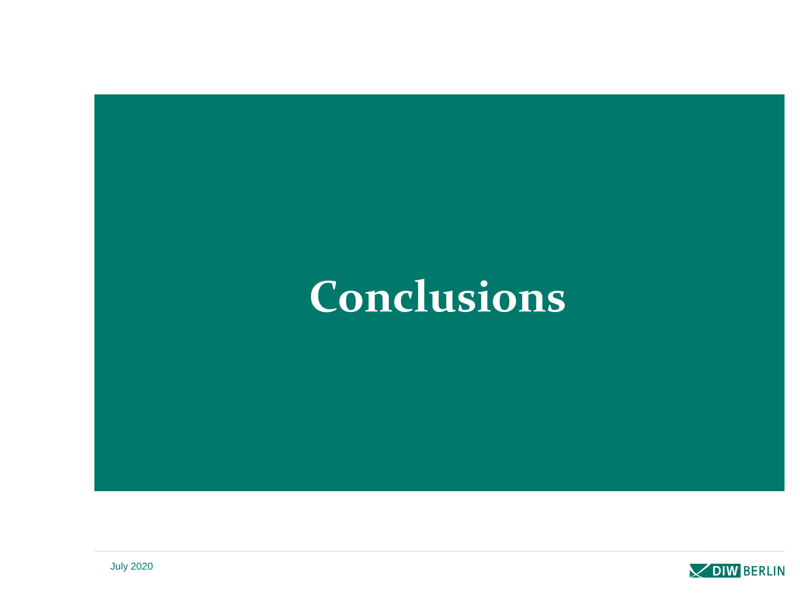## **Conclusions**

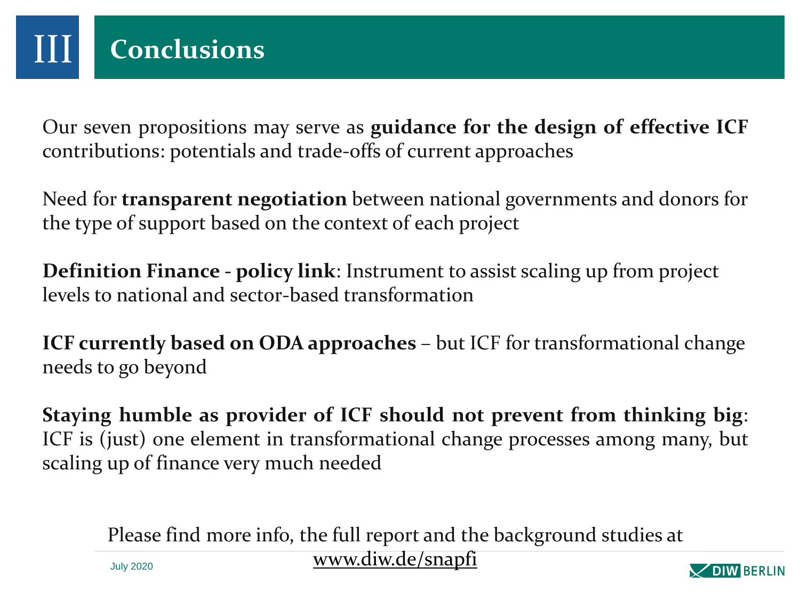Our seven propositions may serve as **guidance for the design of effective ICF** contributions: potentials and trade-offs of current approaches

Need for **transparent negotiation** between national governments and donors for the type of support based on the context of each project

**Definition Finance - policy link**: Instrument to assist scaling up from project levels to national and sector-based transformation

**ICF currently based on ODA approaches** – but ICF for transformational change needs to go beyond

**Staying humble as provider of ICF should not prevent from thinking big**: ICF is (just) one element in transformational change processes among many, but scaling up of finance very much needed

Please find more info, the full report and the background studies at

[www.diw.de/snapfi](http://www.diw.de/snapfi)



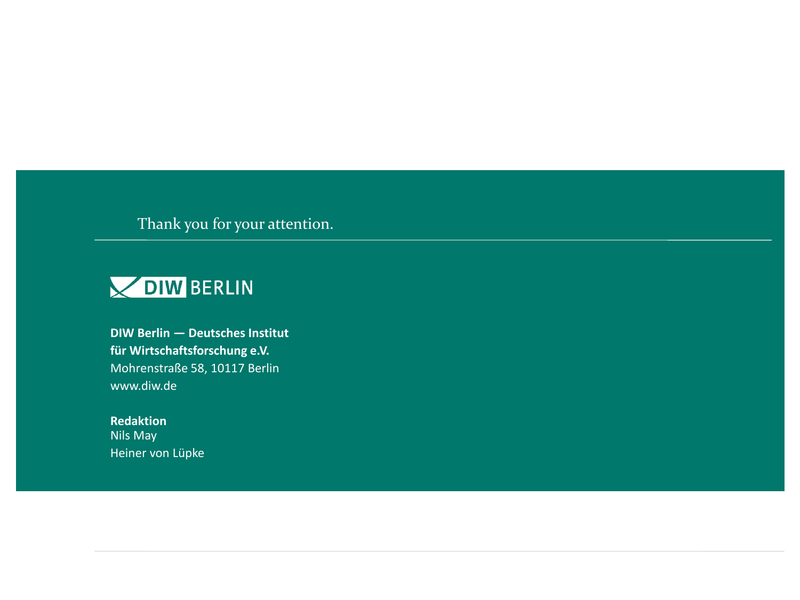Thank you for your attention.



**DIW Berlin — Deutsches Institut für Wirtschaftsforschung e.V.** Mohrenstraße 58, 10117 Berlin www.diw.de

**Redaktion** Nils May Heiner von Lüpke